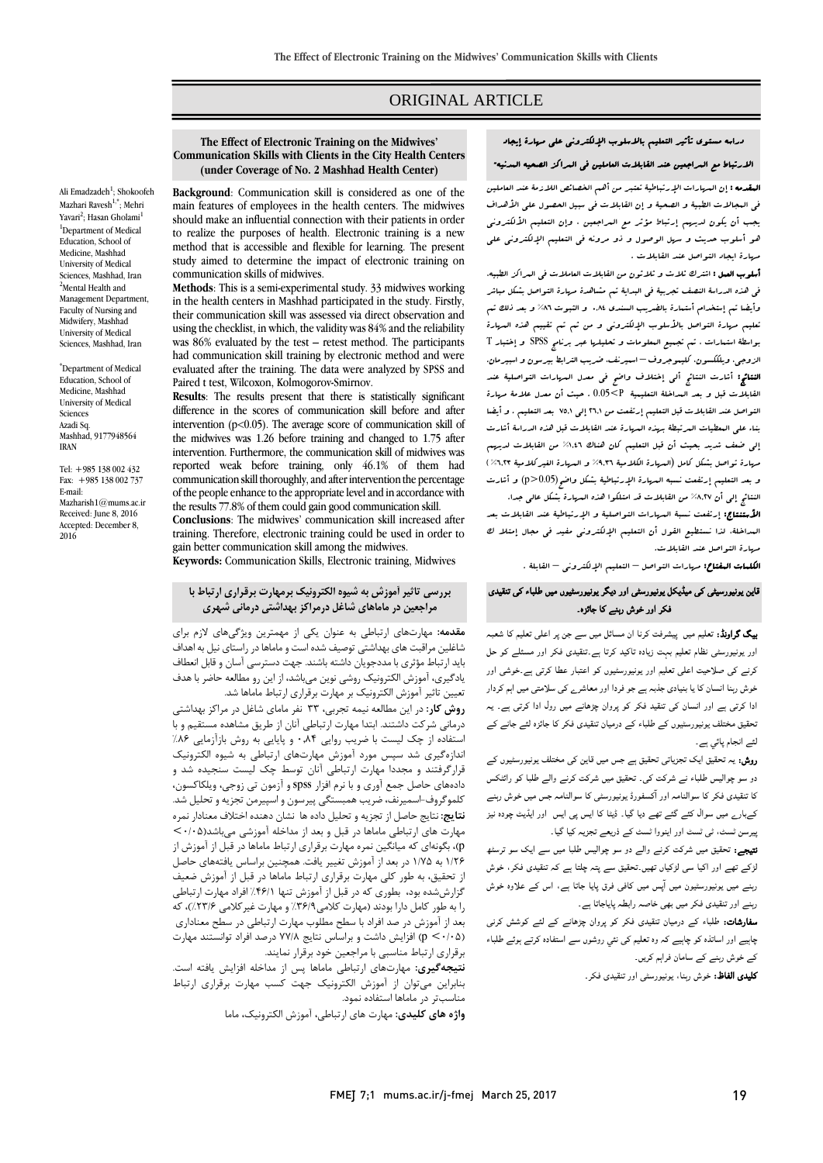# ORIGINAL ARTICLE

# دراسه مستوي تأثیر التعلیم بالاسلوب الإلکترونی علی مهارة إیجاد

### الارتباط مع المراجعین عند القابلات العاملین فی المراکز الصحیه المدنیه**-**

المقدمه : إن المهارات الإرتباطیۀ تعتبر من أهم الخصائص اللازمۀ عند العاملین فی المجالات الطبیۀ و الصحیۀ و إن القابلات فی سبیل الحصول علی الأهداف یجب أن یکون لدیهم إرتباط مؤثر مع المراجعین ، وإن التعلیم الألکترونی هو أسلوب حدیث و سهل الوصول و ذو مرونه فی التعلیم الإلکترونی علی مهارة ایجاد التواصل عند القابلات .

أسلوب العمل : اشترك ثلاث و ثلاثون من القابلات العاملات فی المراکز الطبیه، فی هذه الدراسۀ النصف تجربیۀ فی البدایۀ تم مشاهدة مهارة التواصل بشکل مباشر وأیضا تم إستخدام أستمارة بالضریب السندی ۸۶.۰ و الثبوت ۸۲% و بعد ذلك تم تعلیم مهارة التواصل بالأسلوب الإلکترونی و من ثم تم تقییم هذه المهارة بواسطۀ استمارات ، تم تجمیع المعلومات و تحلیلها عبر برنامج SPSS و إختبار T الزوجی، ویلککسون، کلیموجروف – اسمیرنف، ضریب الترابط بیرسون و اسبیرمان. النتائج: أشارت النتائج ألی إختلاف واضح فی معدل المهارات التواصلیۀ عند القابلات قبل و بعد المداخلۀ التعلیمیۀ P<0.05 . حیث أن معدل علامۀ مهارة التواصل عند القابلات قبل التعلیم إرتفعت من 26,1 إلی 75,1 بعد التعلیم . و أیضا بناء علی المعطیات المرتبطۀ بهذه المهارة عند القابلات قبل هذه الدراسۀ أشارت إلی ضعف شدید بحیث أن قبل التعلیم کان هناك %1,46 من القابلات لدیهم مهارة تواصل بشکل کامل (المهارة الکلامیۀ %9,36 و المهارة الغیرکلامیۀ %6,23) و بعد التعلیم إرتفعت نسبه المهارة الإرتباطیۀ بشکل واضح(0.05<p (و أشارت النتائج إلی أن %8,27 من القابلات قد امتلکوا هذه المهارة بشکل عالی جدا.

الأستنتاج: إرتفعت نسبۀ المهارات التواصلیۀ و الإرتباطیۀ عند القابلات بعد المداخلۀ، لذا نستطیع القول أن التعلیم الإلکترونی مفید فی مجال إمتلا ك مهارة التواصل عند القابلات.

الکلمات المفتاح: مهارات التواصل – التعلیم الإلکترونی – القابلۀ .

# قاین یونیورسیٹی کی میڈیکل یونیورسٹی اور دیگر یونیورسٹیوں میں طلباء کی تنقیدی فکر اور خوش رہنے کا جائزہ۔

بیگ گراونڈ: تعلیم میں پیشرفت کرنا ان مسائل میں سے جن پر اعلی تعلیم کا شعبہ اور یونیورسٹی نظام تعلیم بہت زیادہ تاکید کرتا ہے۔تنقیدی فکر اور مسئلے کو حل کرنے کی ص��حیت اعلی تعلیم اور یونیورسٹیوں کو اعتبار عطا کرتی ہے۔خوشی اور خوش رہنا انسان کا یا بنیادی جذبہ ہے جو فردا اور معاشرے کی س��متی میں اہم کردار ادا کرتی ہے اور انسان کی تنقید فکر کو پروان چڑھانے میں رول ادا کرتی ہے۔ یہ تحقیق مختلف یونیورسٹیوں کے طلباء کے درمیان تنقیدی فکر کا جائزہ لئے جانے کے لئے انجام پائي ہے۔

روش: یہ تحقیق ایک تجزیاتی تحقیق ہے جس میں قاين کی مختلف یونیورسٹیوں کے دو سو چوالیس طلباء نے شرکت کی۔ تحقیق میں شرکت کرنے والے طلبا کو رائٹکس کا تنقیدی فکر کا سوالنامہ اور آکسفورڈ یونیورسٹی کا سوالنامہ جس میں خوش رہنے کےبارے میں سوال کئے گئے تھے دیا گيا۔ ڈیٹا کا ایس پی ایس اور ایڈیٹ چودہ نیز پیرسن ٹسٹ، ٹی ٹسٹ اور اینووا ٹسٹ کے ذریعے تجزیہ کیا گيا۔

نتیجے: تحقیق میں شرکت کرنے والے دو سو چوالیس طلبا میں سے ایک سو ترسٹھ لڑکے تھے اور اکیا سی لڑکیاں تھیں۔تحقیق سے پتہ چلتا ہے کہ تنقیدی فکر، خوش رہنے میں یونیورسٹیون میں آپس میں کافی فرق پایا جاتا ہے، اس کے ع��وہ خوش رہنے اور تنقیدی فکر میں بھی خاصہ رابطہ پایاجاتا ہے۔

سفارشات: طلباء کے درمیان تنقیدی فکر کو پروان چڑھانے کے لئے کوشش کرنی چاہیے اور اساتذہ کو چاہیے کہ وہ تعلیم کی نئي روشوں سے استفادہ کرتے ہوئے طلباء کے خوش رہنے کے سامان فراہم کریں۔

کلیدی الفاظ: خوش رہنا، یونیورسٹی اور تنقیدی فکر۔

### **The Effect of Electronic Training on the Midwives' Communication Skills with Clients in the City Health Centers (under Coverage of No. 2 Mashhad Health Center)**

**Background**: Communication skill is considered as one of the main features of employees in the health centers. The midwives should make an influential connection with their patients in order to realize the purposes of health. Electronic training is a new method that is accessible and flexible for learning. The present study aimed to determine the impact of electronic training on communication skills of midwives.

**Methods**: This is a semi-experimental study. 33 midwives working in the health centers in Mashhad participated in the study. Firstly, their communication skill was assessed via direct observation and using the checklist, in which, the validity was 84% and the reliability was 86% evaluated by the test – retest method. The participants had communication skill training by electronic method and were evaluated after the training. The data were analyzed by SPSS and Paired t test, Wilcoxon, Kolmogorov-Smirnov.

**Results**: The results present that there is statistically significant difference in the scores of communication skill before and after intervention ( $p<0.05$ ). The average score of communication skill of the midwives was 1.26 before training and changed to 1.75 after intervention. Furthermore, the communication skill of midwives was reported weak before training, only 46.1% of them had communication skill thoroughly, and after intervention the percentage of the people enhance to the appropriate level and in accordance with the results 77.8% of them could gain good communication skill. **Conclusions**: The midwives' communication skill increased after training. Therefore, electronic training could be used in order to gain better communication skill among the midwives.

**Keywords:** Communication Skills, Electronic training, Midwives

## **بررسی تاثیر آموزش به شیوه الکترونیک برمهارت برقراري ارتباط با مراجعین در ماماهاي شاغل درمراکز بهداشتی درمانی شهري**

**مقدمه:** مهارتهاي ارتباطی به عنوان یکی از مهمترین ویژگیهاي لازم براي شاغلین مراقبت هاي بهداشتی توصیف شده است و ماماها در راستاي نیل به اهداف باید ارتباط مؤثري با مددجویان داشته باشند. جهت دسترسی آسان و قابل انعطاف یادگیري، آموزش الکترونیک روشی نوین میباشد، از این رو مطالعه حاضر با هدف تعیین تاثیر آموزش الکترونیک بر مهارت برقراري ارتباط ماماها شد.

**روش کار:** در این مطالعه نیمه تجربی، 33 نفر ماماي شاغل در مراکز بهداشتی درمانی شرکت داشتند. ابتدا مهارت ارتباطی آنان از طریق مشاهده مستقیم و با استفاده از چک لیست با ضریب روایی ۰٫۸۴ و پایایی به روش بازآزمایی ۸۶٪ اندازهگیري شد سپس مورد آموزش مهارتهاي ارتباطی به شیوه الکترونیک قرارگرفتند و مجددا مهارت ارتباطی آنان توسط چک لیست سنجیده شد و دادههاي حاصل جمع آوري و با نرم افزار spss و آزمون تی زوجی، ویلکاکسون، کلموگروف-اسمیرنف، ضریب همبستگی پیرسون و اسپیرمن تجزیه و تحلیل شد. **نتایج:** نتایج حاصل از تجزیه و تحلیل داده ها نشان دهنده اختلاف معنادار نمره مهارت هاي ارتباطی ماماها در قبل و بعد از مداخله آموزشی میباشد(0/05> p(، بگونهاي که میانگین نمره مهارت برقراري ارتباط ماماها در قبل از آموزش از 1/26 به 1/75 در بعد از آموزش تغییر یافت. همچنین براساس یافتههاي حاصل از تحقیق، به طور کلی مهارت برقراري ارتباط ماماها در قبل از آموزش ضعیف گزارششده بود، بطوري که در قبل از آموزش تنها %46/1 افراد مهارت ارتباطی را به طور کامل دارا بودند (مهارت کلامی%36/9 و مهارت غیرکلامی %23/6)، که بعد از آموزش در صد افراد با سطح مطلوب مهارت ارتباطی در سطح معناداري (0/05> p (افزایش داشت و براساس نتایج 77/8 درصد افراد توانستند مهارت برقراري ارتباط مناسبی با مراجعین خود برقرار نمایند.

**نتیجهگیري:** مهارتهاي ارتباطی ماماها پس از مداخله افزایش یافته است. بنابراین میتوان از آموزش الکترونیک جهت کسب مهارت برقراري ارتباط مناسبتر در ماماها استفاده نمود.

**واژه هاي کلیدي:** مهارت هاي ارتباطی، آموزش الکترونیک، ماما

[Ali Emadzadeh](http://fmej.mums.ac.ir/?_action=article&au=826&_au=Ali++Emadzadeh)<sup>1</sup>; Shokoofeh [Mazhari Ravesh](http://fmej.mums.ac.ir/?_action=article&au=82412&_au=Shokoofeh++Mazhari+Ravesh)<sup>[1,\\*](http://fmej.mums.ac.ir/article_8553.html#au1)</sup>; Mehri [Yavari](http://fmej.mums.ac.ir/?_action=article&au=82607&_au=Mehri++Yavari)<sup>2</sup>; [Hasan Gholami](http://fmej.mums.ac.ir/?_action=article&au=21517&_au=Hasan++Gholami)<sup>1</sup> <sup>1</sup>Department of Medical Education, School of Medicine, Mashhad University of Medical Sciences, Mashhad, Iran <sup>2</sup>Mental Health and Management Department, Faculty of Nursing and Midwifery, Mashhad University of Medical Sciences, Mashhad, Iran

\* Department of Medical Education, School of Medicine, Mashhad University of Medical Sciences Azadi Sq. Mashhad, 9177948564 IRAN

Tel: +985 138 002 432 Fax:  $+985$  138 002 73 E-mail: Mazharish1@mums.ac.ir Received: June 8, 2016 Accepted: December 8, 2016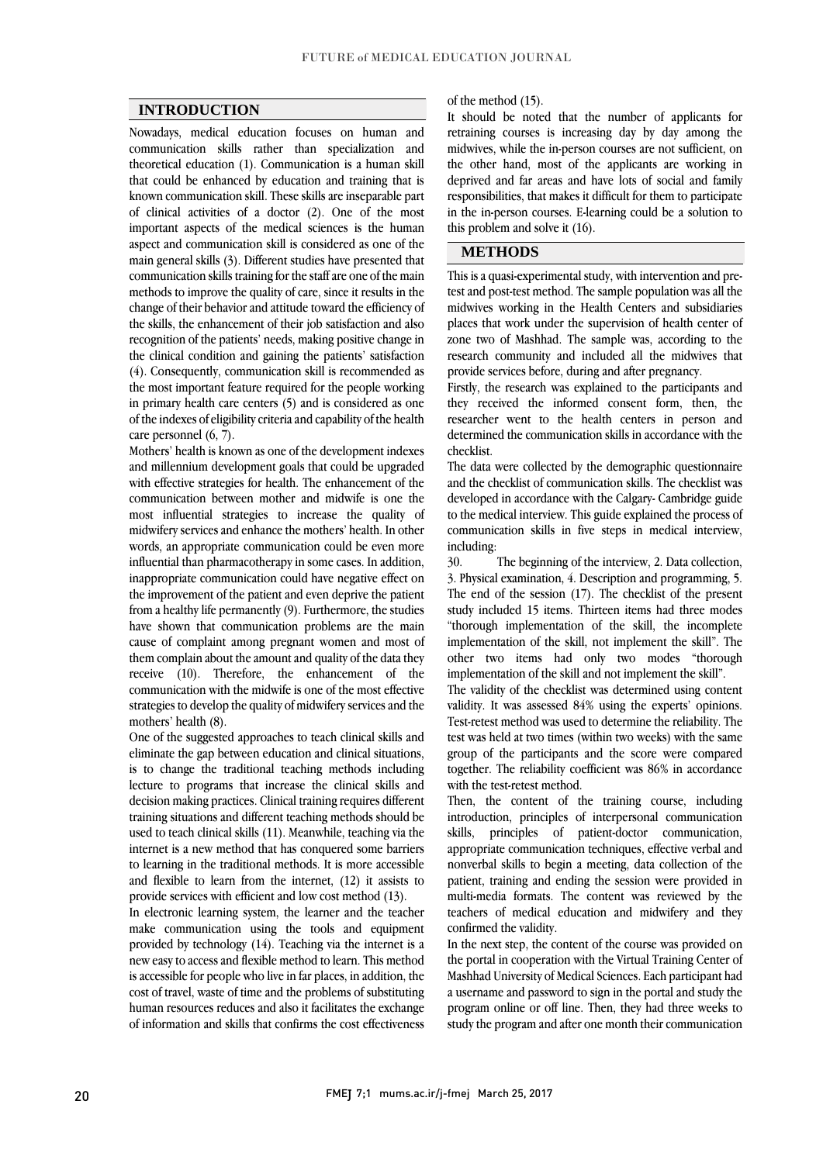# **INTRODUCTION**

Nowadays, medical education focuses on human and communication skills rather than specialization and theoretical education (1). Communication is a human skill that could be enhanced by education and training that is known communication skill. These skills are inseparable part of clinical activities of a doctor (2). One of the most important aspects of the medical sciences is the human aspect and communication skill is considered as one of the main general skills (3). Different studies have presented that communication skills training for the staff are one of the main methods to improve the quality of care, since it results in the change of their behavior and attitude toward the efficiency of the skills, the enhancement of their job satisfaction and also recognition of the patients' needs, making positive change in the clinical condition and gaining the patients' satisfaction (4). Consequently, communication skill is recommended as the most important feature required for the people working in primary health care centers (5) and is considered as one of the indexes of eligibility criteria and capability of the health care personnel (6, 7).

Mothers' health is known as one of the development indexes and millennium development goals that could be upgraded with effective strategies for health. The enhancement of the communication between mother and midwife is one the most influential strategies to increase the quality of midwifery services and enhance the mothers' health. In other words, an appropriate communication could be even more influential than pharmacotherapy in some cases. In addition, inappropriate communication could have negative effect on the improvement of the patient and even deprive the patient from a healthy life permanently (9). Furthermore, the studies have shown that communication problems are the main cause of complaint among pregnant women and most of them complain about the amount and quality of the data they receive (10). Therefore, the enhancement of the communication with the midwife is one of the most effective strategies to develop the quality of midwifery services and the mothers' health (8).

One of the suggested approaches to teach clinical skills and eliminate the gap between education and clinical situations, is to change the traditional teaching methods including lecture to programs that increase the clinical skills and decision making practices. Clinical training requires different training situations and different teaching methods should be used to teach clinical skills (11). Meanwhile, teaching via the internet is a new method that has conquered some barriers to learning in the traditional methods. It is more accessible and flexible to learn from the internet, (12) it assists to provide services with efficient and low cost method (13).

In electronic learning system, the learner and the teacher make communication using the tools and equipment provided by technology (14). Teaching via the internet is a new easy to access and flexible method to learn. This method is accessible for people who live in far places, in addition, the cost of travel, waste of time and the problems of substituting human resources reduces and also it facilitates the exchange of information and skills that confirms the cost effectiveness

of the method (15).

It should be noted that the number of applicants for retraining courses is increasing day by day among the midwives, while the in-person courses are not sufficient, on the other hand, most of the applicants are working in deprived and far areas and have lots of social and family responsibilities, that makes it difficult for them to participate in the in-person courses. E-learning could be a solution to this problem and solve it (16).

# **METHODS**

This is a quasi-experimental study, with intervention and pretest and post-test method. The sample population was all the midwives working in the Health Centers and subsidiaries places that work under the supervision of health center of zone two of Mashhad. The sample was, according to the research community and included all the midwives that provide services before, during and after pregnancy.

Firstly, the research was explained to the participants and they received the informed consent form, then, the researcher went to the health centers in person and determined the communication skills in accordance with the checklist.

The data were collected by the demographic questionnaire and the checklist of communication skills. The checklist was developed in accordance with the Calgary- Cambridge guide to the medical interview. This guide explained the process of communication skills in five steps in medical interview, including:

30. The beginning of the interview, 2. Data collection, 3. Physical examination, 4. Description and programming, 5. The end of the session (17). The checklist of the present study included 15 items. Thirteen items had three modes "thorough implementation of the skill, the incomplete implementation of the skill, not implement the skill". The other two items had only two modes "thorough implementation of the skill and not implement the skill".

The validity of the checklist was determined using content validity. It was assessed 84% using the experts' opinions. Test-retest method was used to determine the reliability. The test was held at two times (within two weeks) with the same group of the participants and the score were compared together. The reliability coefficient was 86% in accordance with the test-retest method.

Then, the content of the training course, including introduction, principles of interpersonal communication skills, principles of patient-doctor communication, appropriate communication techniques, effective verbal and nonverbal skills to begin a meeting, data collection of the patient, training and ending the session were provided in multi-media formats. The content was reviewed by the teachers of medical education and midwifery and they confirmed the validity.

In the next step, the content of the course was provided on the portal in cooperation with the Virtual Training Center of Mashhad University of Medical Sciences. Each participant had a username and password to sign in the portal and study the program online or off line. Then, they had three weeks to study the program and after one month their communication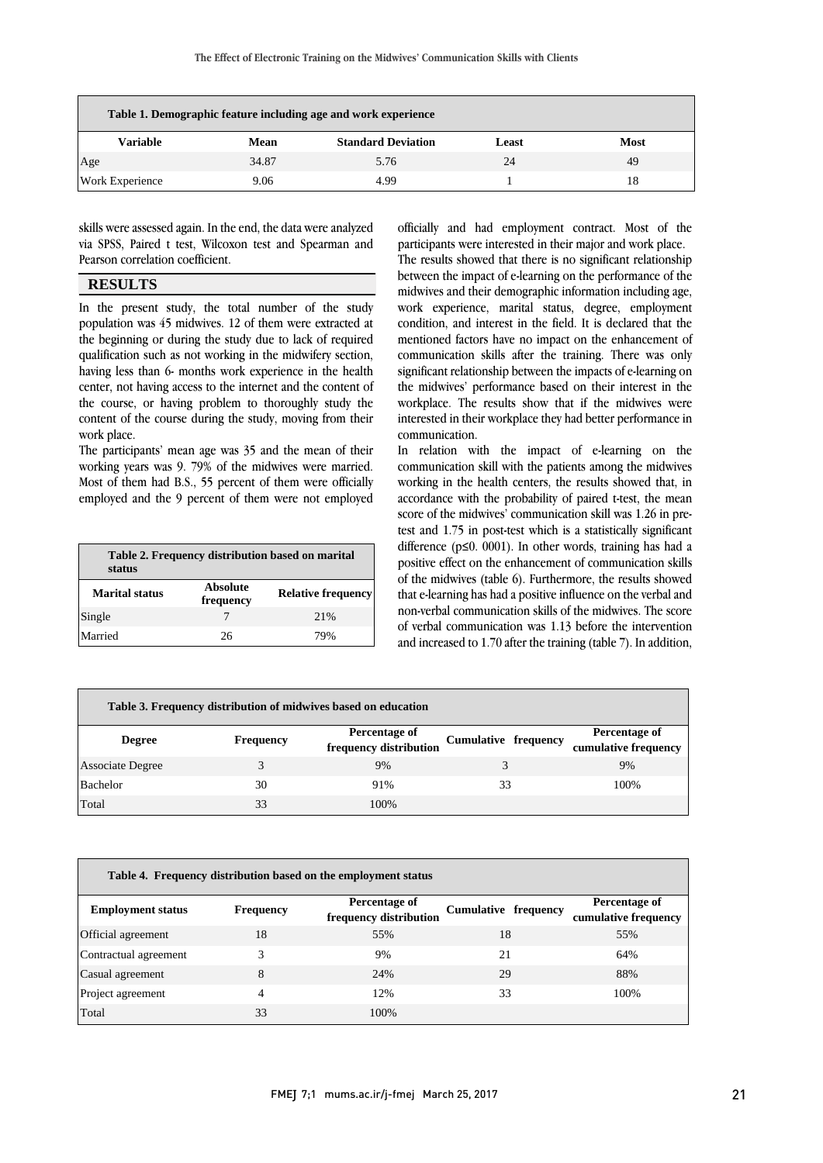| Table 1. Demographic feature including age and work experience |       |                           |       |             |  |
|----------------------------------------------------------------|-------|---------------------------|-------|-------------|--|
| Variable                                                       | Mean  | <b>Standard Deviation</b> | Least | <b>Most</b> |  |
| Age                                                            | 34.87 | 5.76                      | 24    | 49          |  |
| <b>Work Experience</b>                                         | 9.06  | 4.99                      |       | 18          |  |

skills were assessed again. In the end, the data were analyzed via SPSS, Paired t test, Wilcoxon test and Spearman and Pearson correlation coefficient.

# **RESULTS**

In the present study, the total number of the study population was 45 midwives. 12 of them were extracted at the beginning or during the study due to lack of required qualification such as not working in the midwifery section, having less than 6- months work experience in the health center, not having access to the internet and the content of the course, or having problem to thoroughly study the content of the course during the study, moving from their work place.

The participants' mean age was 35 and the mean of their working years was 9. 79% of the midwives were married. Most of them had B.S., 55 percent of them were officially employed and the 9 percent of them were not employed

| Table 2. Frequency distribution based on marital<br>status |                              |                           |  |  |  |
|------------------------------------------------------------|------------------------------|---------------------------|--|--|--|
| <b>Marital status</b>                                      | <b>Absolute</b><br>frequency | <b>Relative frequency</b> |  |  |  |
| Single                                                     |                              | 2.1%                      |  |  |  |
| Married                                                    | 26                           | 79%                       |  |  |  |

officially and had employment contract. Most of the participants were interested in their major and work place.

The results showed that there is no significant relationship between the impact of e-learning on the performance of the midwives and their demographic information including age, work experience, marital status, degree, employment condition, and interest in the field. It is declared that the mentioned factors have no impact on the enhancement of communication skills after the training. There was only significant relationship between the impacts of e-learning on the midwives' performance based on their interest in the workplace. The results show that if the midwives were interested in their workplace they had better performance in communication.

In relation with the impact of e-learning on the communication skill with the patients among the midwives working in the health centers, the results showed that, in accordance with the probability of paired t-test, the mean score of the midwives' communication skill was 1.26 in pretest and 1.75 in post-test which is a statistically significant difference (p≤0. 0001). In other words, training has had a positive effect on the enhancement of communication skills of the midwives (table 6). Furthermore, the results showed that e-learning has had a positive influence on the verbal and non-verbal communication skills of the midwives. The score of verbal communication was 1.13 before the intervention and increased to 1.70 after the training (table 7). In addition,

| Table 3. Frequency distribution of midwives based on education |                  |                                         |                      |                                       |  |  |
|----------------------------------------------------------------|------------------|-----------------------------------------|----------------------|---------------------------------------|--|--|
| <b>Degree</b>                                                  | <b>Frequency</b> | Percentage of<br>frequency distribution | Cumulative frequency | Percentage of<br>cumulative frequency |  |  |
| <b>Associate Degree</b>                                        |                  | 9%                                      |                      | 9%                                    |  |  |
| Bachelor                                                       | 30               | 91%                                     | 33                   | 100%                                  |  |  |
| Total                                                          | 33               | 100%                                    |                      |                                       |  |  |

| Table 4. Frequency distribution based on the employment status |                  |                                         |                             |                                       |  |  |
|----------------------------------------------------------------|------------------|-----------------------------------------|-----------------------------|---------------------------------------|--|--|
| <b>Employment status</b>                                       | <b>Frequency</b> | Percentage of<br>frequency distribution | <b>Cumulative frequency</b> | Percentage of<br>cumulative frequency |  |  |
| Official agreement                                             | 18               | 55%                                     | 18                          | 55%                                   |  |  |
| Contractual agreement                                          | 3                | 9%                                      | 21                          | 64%                                   |  |  |
| Casual agreement                                               | 8                | 24%                                     | 29                          | 88%                                   |  |  |
| Project agreement                                              | 4                | 12%                                     | 33                          | 100%                                  |  |  |
| Total                                                          | 33               | 100%                                    |                             |                                       |  |  |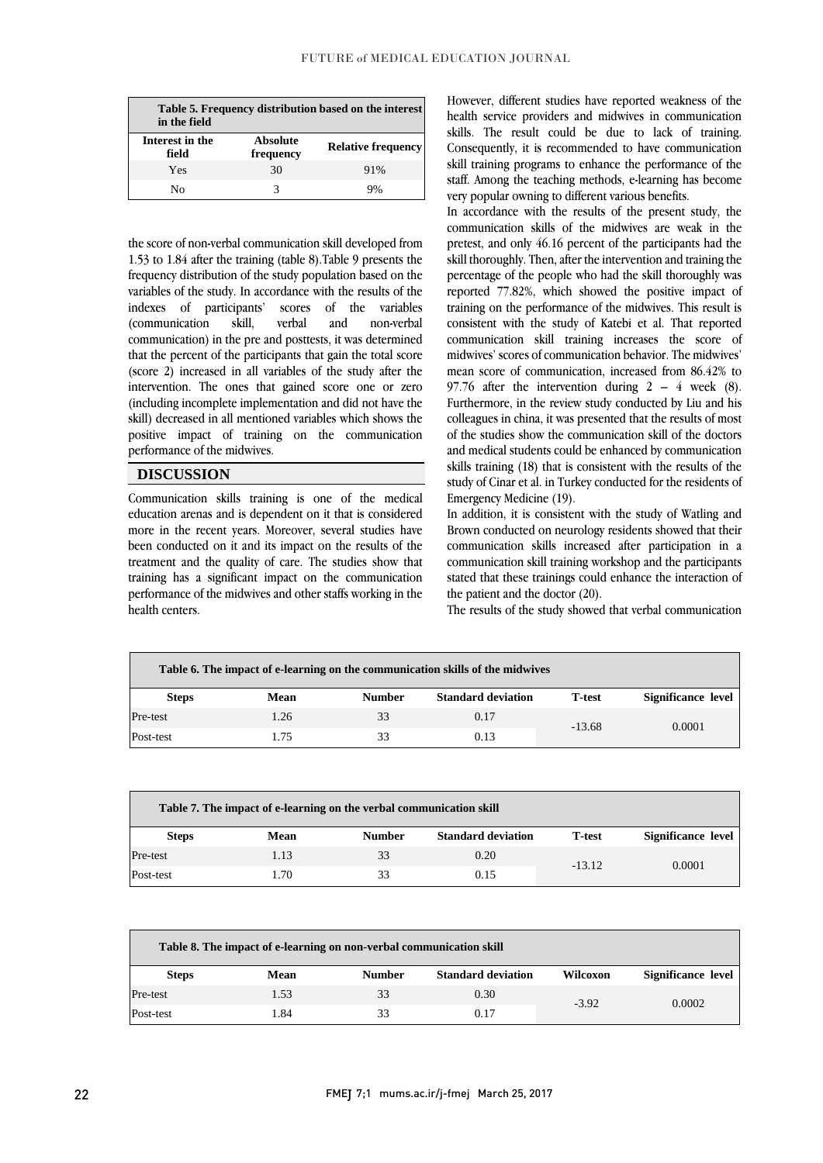| Table 5. Frequency distribution based on the interest<br>in the field |                              |                           |  |  |  |
|-----------------------------------------------------------------------|------------------------------|---------------------------|--|--|--|
| Interest in the<br>field                                              | <b>Absolute</b><br>frequency | <b>Relative frequency</b> |  |  |  |
| Yes                                                                   | 30                           | 91%                       |  |  |  |
| Nο                                                                    |                              | Q%                        |  |  |  |

the score of non-verbal communication skill developed from 1.53 to 1.84 after the training (table 8).Table 9 presents the frequency distribution of the study population based on the variables of the study. In accordance with the results of the indexes of participants' scores of the variables (communication skill, verbal and non-verbal communication) in the pre and posttests, it was determined that the percent of the participants that gain the total score (score 2) increased in all variables of the study after the intervention. The ones that gained score one or zero (including incomplete implementation and did not have the skill) decreased in all mentioned variables which shows the positive impact of training on the communication performance of the midwives.

# **DISCUSSION**

Communication skills training is one of the medical education arenas and is dependent on it that is considered more in the recent years. Moreover, several studies have been conducted on it and its impact on the results of the treatment and the quality of care. The studies show that training has a significant impact on the communication performance of the midwives and other staffs working in the health centers.

However, different studies have reported weakness of the health service providers and midwives in communication skills. The result could be due to lack of training. Consequently, it is recommended to have communication skill training programs to enhance the performance of the staff. Among the teaching methods, e-learning has become very popular owning to different various benefits.

In accordance with the results of the present study, the communication skills of the midwives are weak in the pretest, and only 46.16 percent of the participants had the skill thoroughly. Then, after the intervention and training the percentage of the people who had the skill thoroughly was reported 77.82%, which showed the positive impact of training on the performance of the midwives. This result is consistent with the study of Katebi et al. That reported communication skill training increases the score of midwives' scores of communication behavior. The midwives' mean score of communication, increased from 86.42% to 97.76 after the intervention during  $2 - 4$  week (8). Furthermore, in the review study conducted by Liu and his colleagues in china, it was presented that the results of most of the studies show the communication skill of the doctors and medical students could be enhanced by communication skills training (18) that is consistent with the results of the study of Cinar et al. in Turkey conducted for the residents of Emergency Medicine (19).

In addition, it is consistent with the study of Watling and Brown conducted on neurology residents showed that their communication skills increased after participation in a communication skill training workshop and the participants stated that these trainings could enhance the interaction of the patient and the doctor (20).

The results of the study showed that verbal communication

| Table 6. The impact of e-learning on the communication skills of the midwives |      |               |                           |               |                    |
|-------------------------------------------------------------------------------|------|---------------|---------------------------|---------------|--------------------|
| <b>Steps</b>                                                                  | Mean | <b>Number</b> | <b>Standard deviation</b> | <b>T-test</b> | Significance level |
| Pre-test                                                                      | 1.26 | 33            | 0.17                      | $-13.68$      | 0.0001             |
| Post-test                                                                     | 1.75 | 33            | 0.13                      |               |                    |

| Table 7. The impact of e-learning on the verbal communication skill |      |               |                           |                |                    |
|---------------------------------------------------------------------|------|---------------|---------------------------|----------------|--------------------|
| <b>Steps</b>                                                        | Mean | <b>Number</b> | <b>Standard deviation</b> | <b>T</b> -test | Significance level |
| Pre-test                                                            | 1.13 | 33            | 0.20                      | $-13.12$       |                    |
| Post-test                                                           | 1.70 | 33            | 0.15                      |                | 0.0001             |

| Table 8. The impact of e-learning on non-verbal communication skill |      |               |                           |                 |                    |
|---------------------------------------------------------------------|------|---------------|---------------------------|-----------------|--------------------|
| <b>Steps</b>                                                        | Mean | <b>Number</b> | <b>Standard deviation</b> | <b>Wilcoxon</b> | Significance level |
| Pre-test                                                            | 1.53 | 33            | 0.30                      | $-3.92$         | 0.0002             |
| Post-test                                                           | 1.84 | 33            | 0.17                      |                 |                    |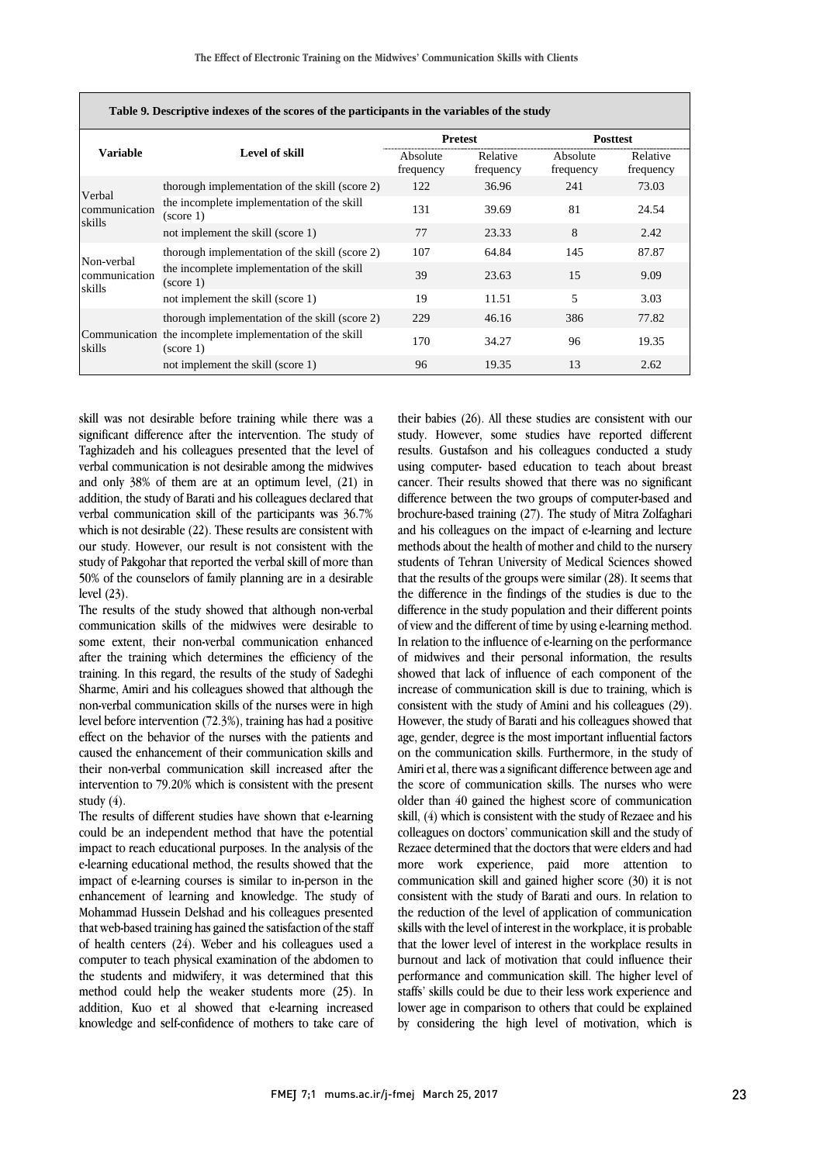|                                       | Table 9. Descriptive indexes of the scores of the participants in the variables of the study |                       |                       |                       |                       |
|---------------------------------------|----------------------------------------------------------------------------------------------|-----------------------|-----------------------|-----------------------|-----------------------|
|                                       |                                                                                              |                       | <b>Pretest</b>        | <b>Posttest</b>       |                       |
| <b>Variable</b>                       | Level of skill                                                                               | Absolute<br>frequency | Relative<br>frequency | Absolute<br>frequency | Relative<br>frequency |
|                                       | thorough implementation of the skill (score 2)                                               | 122                   | 36.96                 | 241                   | 73.03                 |
| Verbal<br>communication<br>skills     | the incomplete implementation of the skill<br>(score 1)                                      | 131                   | 39.69                 | 81                    | 24.54                 |
|                                       | not implement the skill (score 1)                                                            | 77                    | 23.33                 | 8                     | 2.42                  |
|                                       | thorough implementation of the skill (score 2)                                               | 107                   | 64.84                 | 145                   | 87.87                 |
| Non-verbal<br>communication<br>skills | the incomplete implementation of the skill<br>(score 1)                                      | 39                    | 23.63                 | 15                    | 9.09                  |
|                                       | not implement the skill (score 1)                                                            | 19                    | 11.51                 | $\overline{5}$        | 3.03                  |
|                                       | thorough implementation of the skill (score 2)                                               | 229                   | 46.16                 | 386                   | 77.82                 |
| skills                                | Communication the incomplete implementation of the skill<br>(score 1)                        | 170                   | 34.27                 | 96                    | 19.35                 |
|                                       | not implement the skill (score 1)                                                            | 96                    | 19.35                 | 13                    | 2.62                  |

skill was not desirable before training while there was a significant difference after the intervention. The study of Taghizadeh and his colleagues presented that the level of verbal communication is not desirable among the midwives and only 38% of them are at an optimum level, (21) in addition, the study of Barati and his colleagues declared that verbal communication skill of the participants was 36.7% which is not desirable (22). These results are consistent with our study. However, our result is not consistent with the study of Pakgohar that reported the verbal skill of more than 50% of the counselors of family planning are in a desirable level (23).

The results of the study showed that although non-verbal communication skills of the midwives were desirable to some extent, their non-verbal communication enhanced after the training which determines the efficiency of the training. In this regard, the results of the study of Sadeghi Sharme, Amiri and his colleagues showed that although the non-verbal communication skills of the nurses were in high level before intervention (72.3%), training has had a positive effect on the behavior of the nurses with the patients and caused the enhancement of their communication skills and their non-verbal communication skill increased after the intervention to 79.20% which is consistent with the present study  $(4)$ .

The results of different studies have shown that e-learning could be an independent method that have the potential impact to reach educational purposes. In the analysis of the e-learning educational method, the results showed that the impact of e-learning courses is similar to in-person in the enhancement of learning and knowledge. The study of Mohammad Hussein Delshad and his colleagues presented that web-based training has gained the satisfaction of the staff of health centers (24). Weber and his colleagues used a computer to teach physical examination of the abdomen to the students and midwifery, it was determined that this method could help the weaker students more (25). In addition, Kuo et al showed that e-learning increased knowledge and self-confidence of mothers to take care of

their babies (26). All these studies are consistent with our study. However, some studies have reported different results. Gustafson and his colleagues conducted a study using computer- based education to teach about breast cancer. Their results showed that there was no significant difference between the two groups of computer-based and brochure-based training (27). The study of Mitra Zolfaghari and his colleagues on the impact of e-learning and lecture methods about the health of mother and child to the nursery students of Tehran University of Medical Sciences showed that the results of the groups were similar (28). It seems that the difference in the findings of the studies is due to the difference in the study population and their different points of view and the different of time by using e-learning method. In relation to the influence of e-learning on the performance of midwives and their personal information, the results showed that lack of influence of each component of the increase of communication skill is due to training, which is consistent with the study of Amini and his colleagues (29). However, the study of Barati and his colleagues showed that age, gender, degree is the most important influential factors on the communication skills. Furthermore, in the study of Amiri et al, there was a significant difference between age and the score of communication skills. The nurses who were older than 40 gained the highest score of communication skill, (4) which is consistent with the study of Rezaee and his colleagues on doctors' communication skill and the study of Rezaee determined that the doctors that were elders and had more work experience, paid more attention to communication skill and gained higher score (30) it is not consistent with the study of Barati and ours. In relation to the reduction of the level of application of communication skills with the level of interest in the workplace, it is probable that the lower level of interest in the workplace results in burnout and lack of motivation that could influence their performance and communication skill. The higher level of staffs' skills could be due to their less work experience and lower age in comparison to others that could be explained by considering the high level of motivation, which is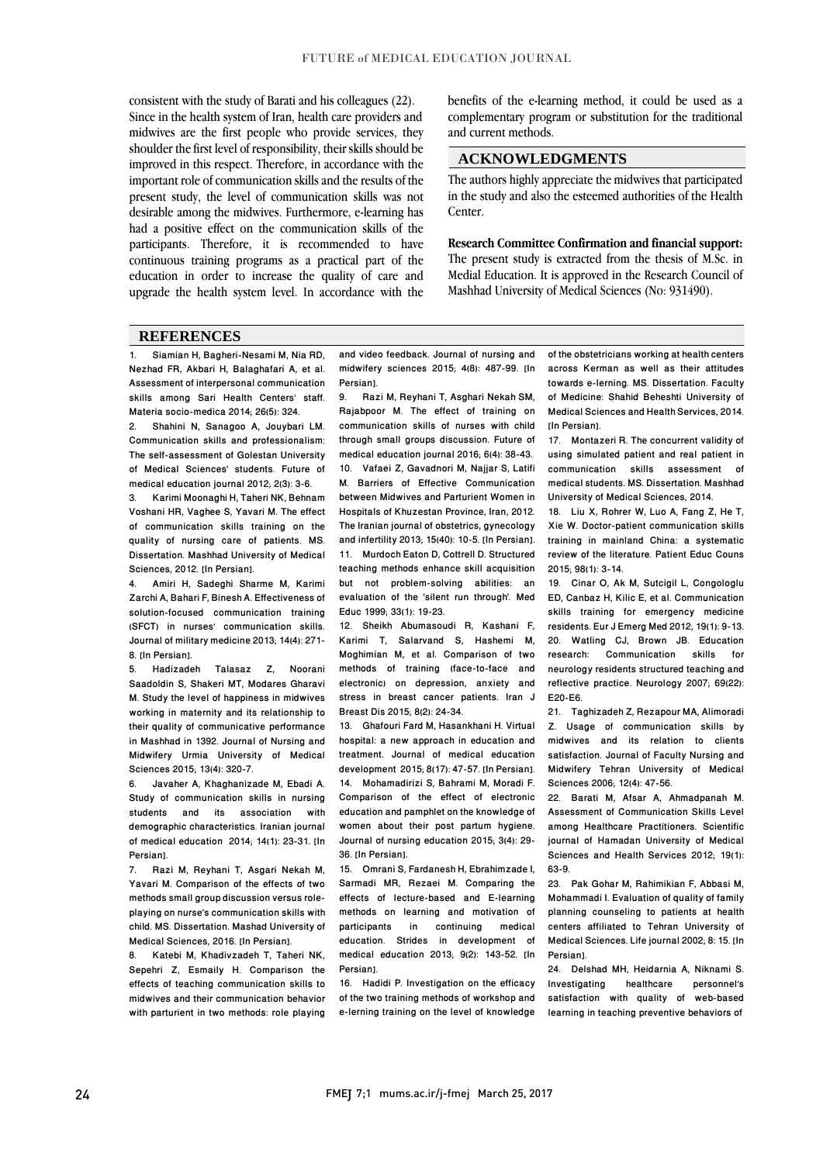consistent with the study of Barati and his colleagues (22). Since in the health system of Iran, health care providers and midwives are the first people who provide services, they shoulder the first level of responsibility, their skills should be improved in this respect. Therefore, in accordance with the important role of communication skills and the results of the present study, the level of communication skills was not desirable among the midwives. Furthermore, e-learning has had a positive effect on the communication skills of the participants. Therefore, it is recommended to have continuous training programs as a practical part of the education in order to increase the quality of care and upgrade the health system level. In accordance with the benefits of the e-learning method, it could be used as a complementary program or substitution for the traditional and current methods.

# **ACKNOWLEDGMENTS**

The authors highly appreciate the midwives that participated in the study and also the esteemed authorities of the Health Center.

**Research Committee Confirmation and financial support:** The present study is extracted from the thesis of M.Sc. in Medial Education. It is approved in the Research Council of Mashhad University of Medical Sciences (No: 931490).

#### **REFERENCES**

1. Siamian H, Bagheri-Nesami M, Nia RD, Nezhad FR, Akbari H, Balaghafari A, et al. Assessment of interpersonal communication skills among Sari Health Centers' staff. Materia socio-medica 2014; 26(5): 324.

2. Shahini N, Sanagoo A, Jouybari LM. Communication skills and professionalism: The self-assessment of Golestan University of Medical Sciences' students. Future of medical education journal 2012; 2(3): 3-6.

3. Karimi Moonaghi H, Taheri NK, Behnam Voshani HR, Vaghee S, Yavari M. The effect of communication skills training on the quality of nursing care of patients. MS. Dissertation. Mashhad University of Medical Sciences, 2012. [In Persian].

4. Amiri H, Sadeghi Sharme M, Karimi Zarchi A, Bahari F, Binesh A. Effectiveness of solution-focused communication training (SFCT) in nurses' communication skills. Journal of military medicine 2013; 14(4): 271- 8. [In Persian].

5. Hadizadeh Talasaz Z, Noorani Saadoldin S, Shakeri MT, Modares Gharavi M. Study the level of happiness in midwives working in maternity and its relationship to their quality of communicative performance in Mashhad in 1392. Journal of Nursing and Midwifery Urmia University of Medical Sciences 2015; 13(4): 320-7.

6. Javaher A, Khaghanizade M, Ebadi A. Study of communication skills in nursing students and its association with demographic characteristics. Iranian journal of medical education 2014; 14(1): 23-31. [In Persian].

7. Razi M, Reyhani T, Asgari Nekah M, Yavari M. Comparison of the effects of two methods small group discussion versus roleplaying on nurse's communication skills with child. MS. Dissertation. Mashad University of Medical Sciences, 2016. [In Persian].

8. Katebi M, Khadivzadeh T, Taheri NK, Sepehri Z, Esmaily H. Comparison the effects of teaching communication skills to midwives and their communication behavior with parturient in two methods: role playing

and video feedback. Journal of nursing and midwifery sciences 2015; 4(8): 487-99. [In Persian].

9. Razi M, Reyhani T, Asghari Nekah SM, Rajabpoor M. The effect of training on communication skills of nurses with child through small groups discussion. Future of medical education journal 2016; 6(4): 38-43. 10. Vafaei Z, Gavadnori M, Najjar S, Latifi M. Barriers of Effective Communication between Midwives and Parturient Women in Hospitals of Khuzestan Province, Iran, 2012. The Iranian journal of obstetrics, gynecology and infertility 2013; 15(40): 10-5. [In Persian]. 11. Murdoch Eaton D, Cottrell D. Structured teaching methods enhance skill acquisition but not problem-solving abilities: an evaluation of the 'silent run through'. Med Educ 1999; 33(1): 19-23.

12. Sheikh Abumasoudi R, Kashani F, Karimi T, Salarvand S, Hashemi M, Moghimian M, et al. Comparison of two methods of training (face-to-face and electronic) on depression, anxiety and stress in breast cancer patients. Iran J Breast Dis 2015; 8(2): 24-34.

13. Ghafouri Fard M, Hasankhani H. Virtual hospital: a new approach in education and treatment. Journal of medical education development 2015; 8(17): 47-57. [In Persian]. 14. Mohamadirizi S, Bahrami M, Moradi F. Comparison of the effect of electronic education and pamphlet on the knowledge of women about their post partum hygiene. Journal of nursing education 2015; 3(4): 29- 36. [In Persian].

15. Omrani S, Fardanesh H, Ebrahimzade I, Sarmadi MR, Rezaei M. Comparing the effects of lecture-based and E-learning methods on learning and motivation of<br>participants in continuing medical continuing education. Strides in development of medical education 2013; 9(2): 143-52. [In Persian].

16. Hadidi P. Investigation on the efficacy of the two training methods of workshop and e-lerning training on the level of knowledge

of the obstetricians working at health centers across Kerman as well as their attitudes towards e-lerning. MS. Dissertation. Faculty of Medicine: Shahid Beheshti University of Medical Sciences and Health Services, 2014. [In Persian].

17. Montazeri R. The concurrent validity of using simulated patient and real patient in communication skills assessment of medical students. MS. Dissertation. Mashhad University of Medical Sciences, 2014.

18. Liu X, Rohrer W, Luo A, Fang Z, He T, Xie W. Doctor-patient communication skills training in mainland China: a systematic review of the literature. Patient Educ Couns 2015; 98(1): 3-14.

19. Cinar O, Ak M, Sutcigil L, Congologlu ED, Canbaz H, Kilic E, et al. Communication skills training for emergency medicine residents. Eur J Emerg Med 2012; 19(1): 9-13. 20. Watling CJ, Brown JB. Education<br>research: Communication skills for Communication neurology residents structured teaching and reflective practice. Neurology 2007; 69(22): E20-E6.

21. Taghizadeh Z, Rezapour MA, Alimoradi Z. Usage of communication skills by midwives and its relation to clients satisfaction. Journal of Faculty Nursing and Midwifery Tehran University of Medical Sciences 2006; 12(4): 47-56.

22. Barati M, Afsar A, Ahmadpanah M. Assessment of Communication Skills Level among Healthcare Practitioners. Scientific journal of Hamadan University of Medical Sciences and Health Services 2012; 19(1): 63-9.

23. Pak Gohar M, Rahimikian F, Abbasi M, Mohammadi I. Evaluation of quality of family planning counseling to patients at health centers affiliated to Tehran University of Medical Sciences. Life journal 2002; 8: 15. [In Persian].

24. Delshad MH, Heidarnia A, Niknami S. Investigating healthcare personnel's satisfaction with quality of web-based learning in teaching preventive behaviors of